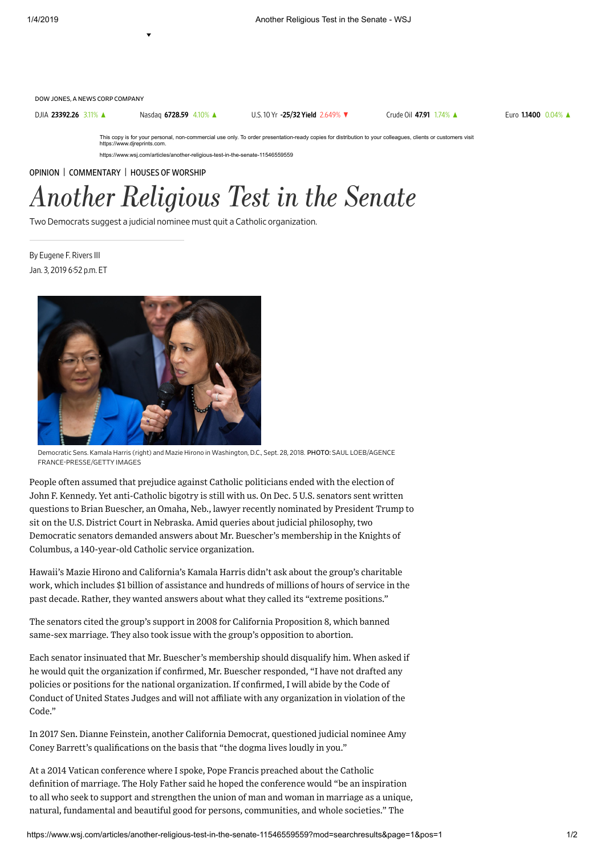DOW JONES, A NEWS CORP COMPANY

DJIA [23392.26](https://quotes.wsj.com/index/DJIA) 3.11% ▲ Nasdaq [6728.59](https://quotes.wsj.com/index/COMP) 4.10% ▲ U.S.10 Yr -25/32 Yield [2.649%](https://quotes.wsj.com/bond/BX/TMUBMUSD10Y) ▼ [Crude](https://quotes.wsj.com/futures/Crude%20Oil%20-%20Electronic) Oil 47.91 1.74% ▲ Euro [1.1400](https://quotes.wsj.com/fx/EURUSD) 0.04% ▲

This copy is for your personal, non-commercial use only. To order presentation-ready copies for distribution to your colleagues, clients or customers visit https://www.djreprints.com.

https://www.wsj.com/articles/another-religious-test-in-the-senate-11546559559

[OPINION](https://www.wsj.com/news/opinion) | [COMMENTARY](https://www.wsj.com/news/types/commentary-u-s) | HOUSES OF [WORSHIP](https://www.wsj.com/news/types/houses-of-worship)

## Another Religious Test in the Senate

Two Democrats suggest a judicial nominee must quit a Catholic organization.

Jan. 3, 2019 6:52 p.m. ET By Eugene F. Rivers III



Democratic Sens. Kamala Harris (right) and Mazie Hirono in Washington, D.C., Sept. 28, 2018. PHOTO: SAUL LOEB/AGENCE FRANCE-PRESSE/GETTY IMAGES

People often assumed that prejudice against Catholic politicians ended with the election of John F. Kennedy. Yet anti-Catholic bigotry is still with us. On Dec. 5 U.S. senators sent written questions to Brian Buescher, an Omaha, Neb., lawyer recently nominated by President Trump to sit on the U.S. District Court in Nebraska. Amid queries about judicial philosophy, two Democratic senators demanded answers about Mr. Buescher's membership in the Knights of Columbus, a 140-year-old Catholic service organization.

Hawaii's Mazie Hirono and California's Kamala Harris didn't ask about the group's charitable work, which includes \$1 billion of assistance and hundreds of millions of hours of service in the past decade. Rather, they wanted answers about what they called its "extreme positions."

The senators cited the group's support in 2008 for California Proposition 8, which banned same-sex marriage. They also took issue with the group's opposition to abortion.

Each senator insinuated that Mr. Buescher's membership should disqualify him. When asked if he would quit the organization if confirmed, Mr. Buescher responded, "I have not drafted any policies or positions for the national organization. If confirmed, I will abide by the Code of Conduct of United States Judges and will not affiliate with any organization in violation of the Code."

In 2017 Sen. Dianne Feinstein, another California Democrat, questioned judicial nominee Amy Coney Barrett's qualifications on the basis that "the dogma lives loudly in you."

At a 2014 Vatican conference where I spoke, Pope Francis preached about the Catholic definition of marriage. The Holy Father said he hoped the conference would "be an inspiration to all who seek to support and strengthen the union of man and woman in marriage as a unique, natural, fundamental and beautiful good for persons, communities, and whole societies." The